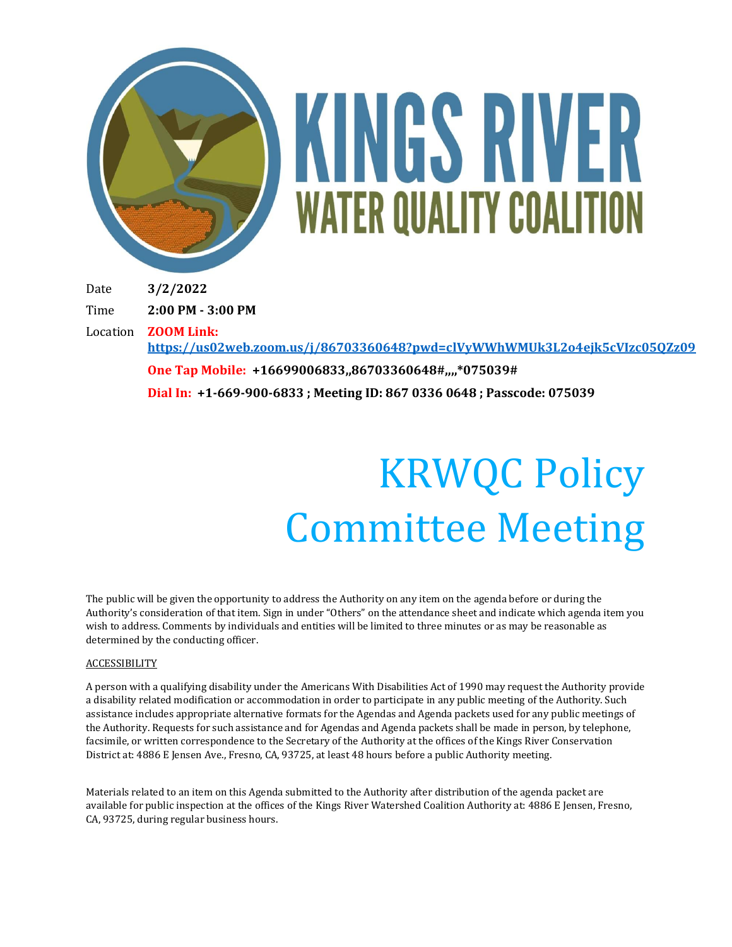

# KINGS RIVER **WATER QUALITY COALITION**

Date **3/2/2022**

Time **2:00 PM - 3:00 PM**

Location **ZOOM Link:** 

**<https://us02web.zoom.us/j/86703360648?pwd=clVyWWhWMUk3L2o4ejk5cVIzc05QZz09>**

**One Tap Mobile: +16699006833,,86703360648#,,,,\*075039# Dial In: +1-669-900-6833 ; Meeting ID: 867 0336 0648 ; Passcode: 075039**

## KRWQC Policy Committee Meeting

The public will be given the opportunity to address the Authority on any item on the agenda before or during the Authority's consideration of that item. Sign in under "Others" on the attendance sheet and indicate which agenda item you wish to address. Comments by individuals and entities will be limited to three minutes or as may be reasonable as determined by the conducting officer.

#### ACCESSIBILITY

A person with a qualifying disability under the Americans With Disabilities Act of 1990 may request the Authority provide a disability related modification or accommodation in order to participate in any public meeting of the Authority. Such assistance includes appropriate alternative formats for the Agendas and Agenda packets used for any public meetings of the Authority. Requests for such assistance and for Agendas and Agenda packets shall be made in person, by telephone, facsimile, or written correspondence to the Secretary of the Authority at the offices of the Kings River Conservation District at: 4886 E Jensen Ave., Fresno, CA, 93725, at least 48 hours before a public Authority meeting.

Materials related to an item on this Agenda submitted to the Authority after distribution of the agenda packet are available for public inspection at the offices of the Kings River Watershed Coalition Authority at: 4886 E Jensen, Fresno, CA, 93725, during regular business hours.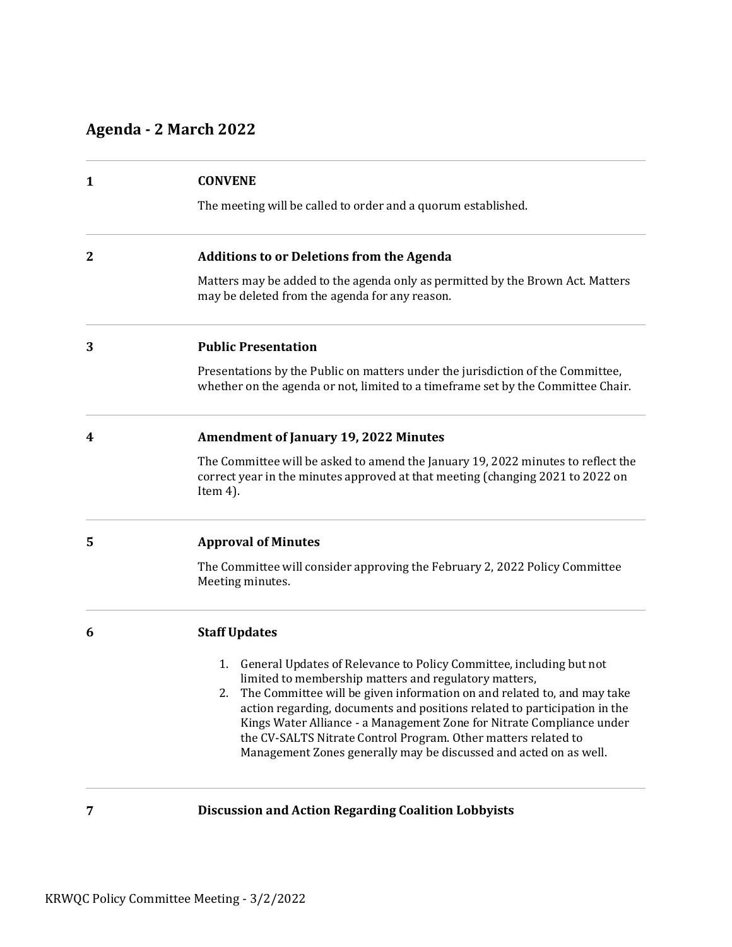### **Agenda - 2 March 2022**

| $\mathbf{1}$ | <b>CONVENE</b>                                                                                                                                                                                                                                                                                                                                                                                                                                                                                                   |
|--------------|------------------------------------------------------------------------------------------------------------------------------------------------------------------------------------------------------------------------------------------------------------------------------------------------------------------------------------------------------------------------------------------------------------------------------------------------------------------------------------------------------------------|
|              | The meeting will be called to order and a quorum established.                                                                                                                                                                                                                                                                                                                                                                                                                                                    |
| $\mathbf{2}$ | <b>Additions to or Deletions from the Agenda</b>                                                                                                                                                                                                                                                                                                                                                                                                                                                                 |
|              | Matters may be added to the agenda only as permitted by the Brown Act. Matters<br>may be deleted from the agenda for any reason.                                                                                                                                                                                                                                                                                                                                                                                 |
| 3            | <b>Public Presentation</b>                                                                                                                                                                                                                                                                                                                                                                                                                                                                                       |
|              | Presentations by the Public on matters under the jurisdiction of the Committee,<br>whether on the agenda or not, limited to a timeframe set by the Committee Chair.                                                                                                                                                                                                                                                                                                                                              |
| 4            | <b>Amendment of January 19, 2022 Minutes</b>                                                                                                                                                                                                                                                                                                                                                                                                                                                                     |
|              | The Committee will be asked to amend the January 19, 2022 minutes to reflect the<br>correct year in the minutes approved at that meeting (changing 2021 to 2022 on<br>Item $4$ ).                                                                                                                                                                                                                                                                                                                                |
| 5            | <b>Approval of Minutes</b>                                                                                                                                                                                                                                                                                                                                                                                                                                                                                       |
|              | The Committee will consider approving the February 2, 2022 Policy Committee<br>Meeting minutes.                                                                                                                                                                                                                                                                                                                                                                                                                  |
| 6            | <b>Staff Updates</b>                                                                                                                                                                                                                                                                                                                                                                                                                                                                                             |
|              | General Updates of Relevance to Policy Committee, including but not<br>1.<br>limited to membership matters and regulatory matters,<br>The Committee will be given information on and related to, and may take<br>2.<br>action regarding, documents and positions related to participation in the<br>Kings Water Alliance - a Management Zone for Nitrate Compliance under<br>the CV-SALTS Nitrate Control Program. Other matters related to<br>Management Zones generally may be discussed and acted on as well. |
| 7            | <b>Discussion and Action Regarding Coalition Lobbyists</b>                                                                                                                                                                                                                                                                                                                                                                                                                                                       |